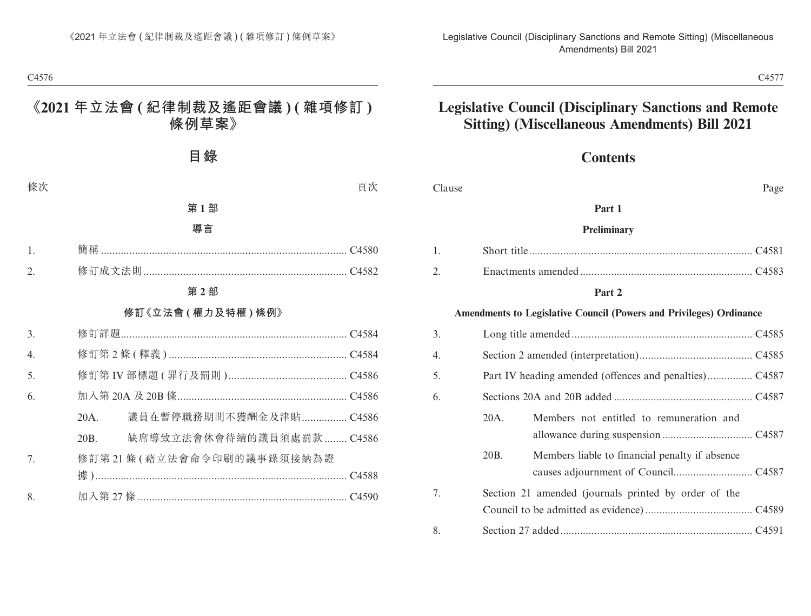### **Contents**

| Clause |                 |                                                                            | Page |
|--------|-----------------|----------------------------------------------------------------------------|------|
|        |                 | Part 1                                                                     |      |
|        |                 | Preliminary                                                                |      |
| 1.     |                 |                                                                            |      |
| 2.     |                 |                                                                            |      |
|        |                 | Part 2                                                                     |      |
|        |                 | <b>Amendments to Legislative Council (Powers and Privileges) Ordinance</b> |      |
| 3.     |                 |                                                                            |      |
| 4.     |                 |                                                                            |      |
| 5.     |                 |                                                                            |      |
| 6.     |                 |                                                                            |      |
|        | 20A.            | Members not entitled to remuneration and                                   |      |
|        | 20 <sub>B</sub> | Members liable to financial penalty if absence                             |      |
| 7.     |                 | Section 21 amended (journals printed by order of the                       |      |
| 8.     |                 |                                                                            |      |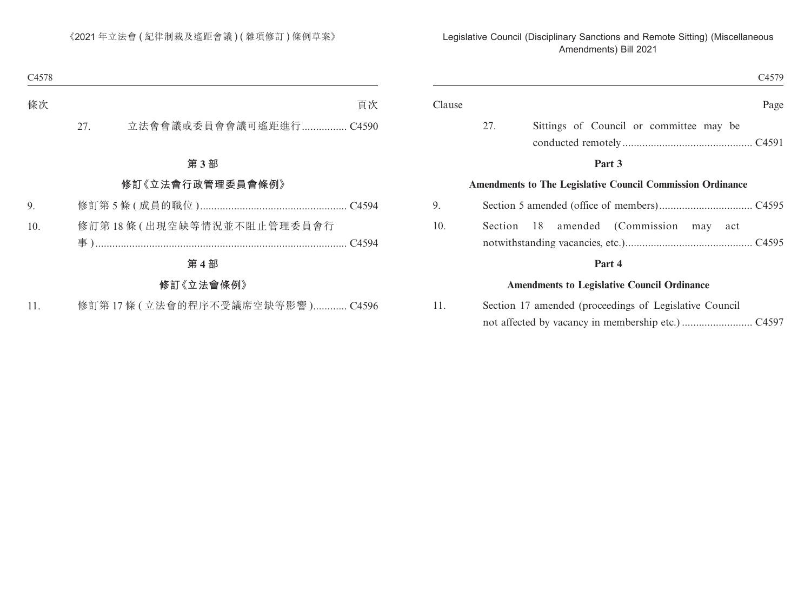|                                                                   | C4579                  |
|-------------------------------------------------------------------|------------------------|
| Clause                                                            | Page                   |
| 27.<br>Sittings of Council or committee may be                    |                        |
| Part 3                                                            |                        |
| <b>Amendments to The Legislative Council Commission Ordinance</b> |                        |
|                                                                   |                        |
| Section<br>- 18<br>amended                                        | (Commission<br>may act |
| Part 4                                                            |                        |
| <b>Amendments to Legislative Council Ordinance</b>                |                        |
| Section 17 amended (proceedings of Legislative Council            |                        |

11. Section 17 amended (proceedings of Legislative Council not affected by vacancy in membership etc.) ......................... C4597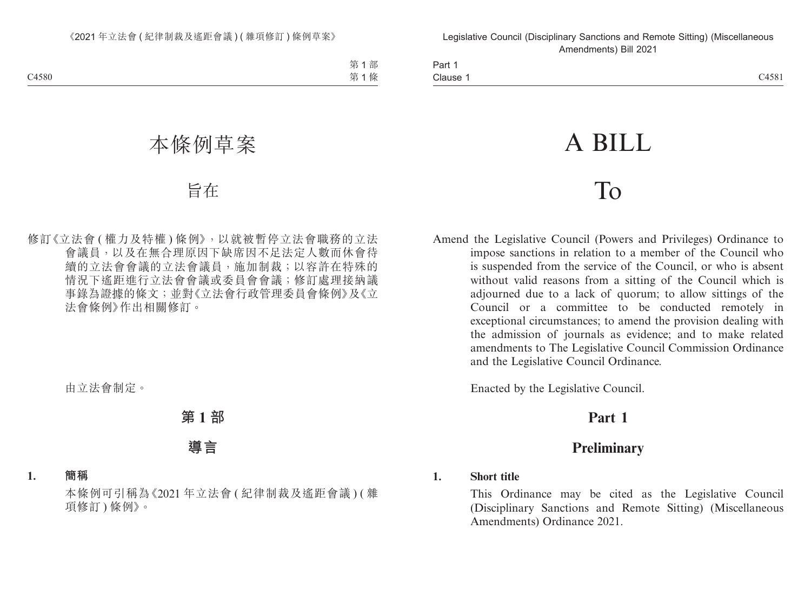Part 1 Clause 1 Clause 1 C4581

# A BILL

## To

Amend the Legislative Council (Powers and Privileges) Ordinance to impose sanctions in relation to a member of the Council who is suspended from the service of the Council, or who is absent without valid reasons from a sitting of the Council which is adjourned due to a lack of quorum; to allow sittings of the Council or a committee to be conducted remotely in exceptional circumstances; to amend the provision dealing with the admission of journals as evidence; and to make related amendments to The Legislative Council Commission Ordinance and the Legislative Council Ordinance.

Enacted by the Legislative Council.

## **Part 1**

## **Preliminary**

#### **1. Short title**

This Ordinance may be cited as the Legislative Council (Disciplinary Sanctions and Remote Sitting) (Miscellaneous Amendments) Ordinance 2021.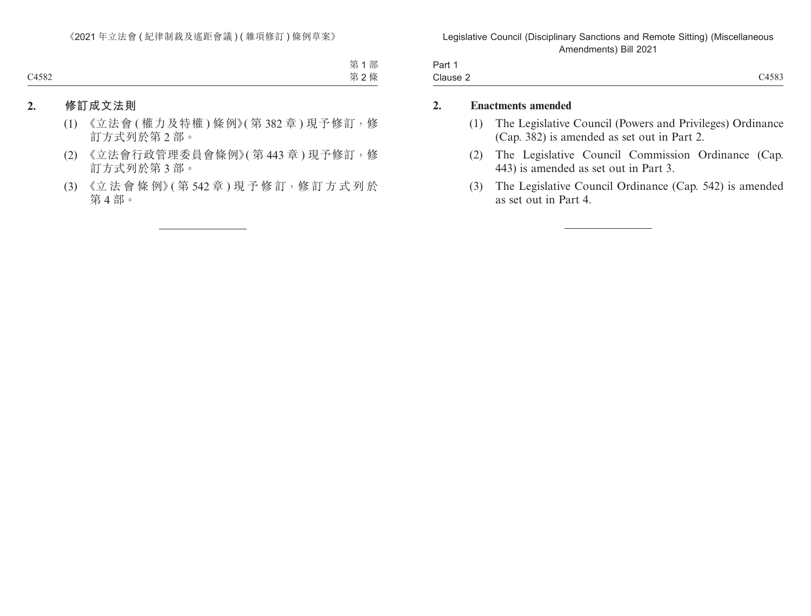| Part 1   |       |
|----------|-------|
| Clause 2 | C4583 |

#### **2. Enactments amended**

- (1) The Legislative Council (Powers and Privileges) Ordinance (Cap. 382) is amended as set out in Part 2.
- (2) The Legislative Council Commission Ordinance (Cap. 443) is amended as set out in Part 3.
- (3) The Legislative Council Ordinance (Cap. 542) is amended as set out in Part 4.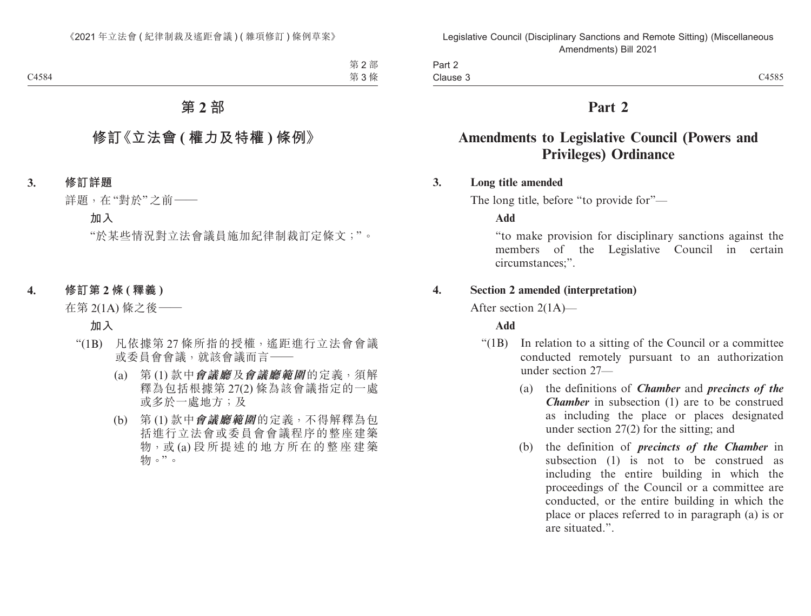Part 2 Clause 3 Clause 3 and 2012 and 2013 and 2014 and 2014 and 2014 and 2014 and 2014 and 2014 and 2014 and 2014 and 2014 and 2014 and 2014 and 2014 and 2014 and 2014 and 2014 and 2014 and 2014 and 2014 and 2014 and 2014 and 2014 and 20

## **Part 2**

## **Amendments to Legislative Council (Powers and Privileges) Ordinance**

#### **3. Long title amended**

The long title, before "to provide for"—

**Add**

"to make provision for disciplinary sanctions against the members of the Legislative Council in certain circumstances;".

#### **4. Section 2 amended (interpretation)**

After section 2(1A)—

#### **Add**

- "(1B) In relation to a sitting of the Council or a committee conducted remotely pursuant to an authorization under section 27—
	- (a) the definitions of *Chamber* and *precincts of the Chamber* in subsection (1) are to be construed as including the place or places designated under section 27(2) for the sitting; and
	- (b) the definition of *precincts of the Chamber* in subsection (1) is not to be construed as including the entire building in which the proceedings of the Council or a committee are conducted, or the entire building in which the place or places referred to in paragraph (a) is or are situated.".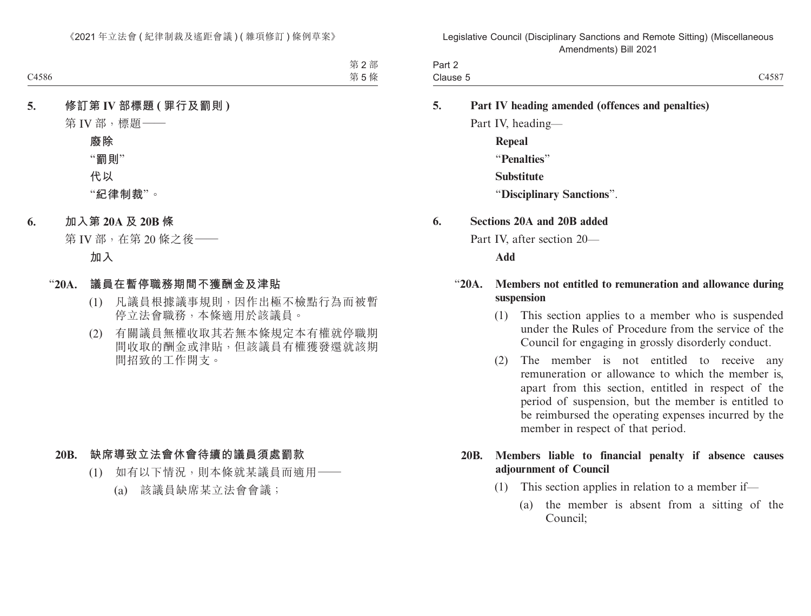| Part 2   |       |
|----------|-------|
| Clause 5 | C4587 |

- **5. Part IV heading amended (offences and penalties)** Part IV, heading—
	- **Repeal** "**Penalties**" **Substitute** "**Disciplinary Sanctions**".

#### **6. Sections 20A and 20B added**

Part IV, after section 20—

**Add**

#### "**20A. Members not entitled to remuneration and allowance during suspension**

- (1) This section applies to a member who is suspended under the Rules of Procedure from the service of the Council for engaging in grossly disorderly conduct.
- (2) The member is not entitled to receive any remuneration or allowance to which the member is, apart from this section, entitled in respect of the period of suspension, but the member is entitled to be reimbursed the operating expenses incurred by the member in respect of that period.

#### **20B. Members liable to financial penalty if absence causes adjournment of Council**

- (1) This section applies in relation to a member if—
	- (a) the member is absent from a sitting of the Council;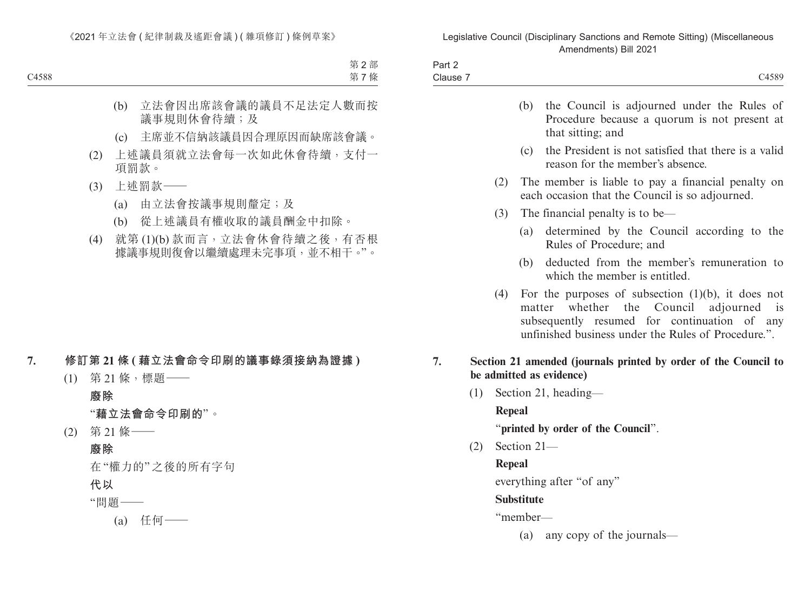| Part $\geq$<br>$\cdots$ $-$          |       |
|--------------------------------------|-------|
| $\overline{\phantom{0}}$<br>Clause 7 | C4589 |

|    |     |               |             | (b) the Council is adjourned under the Rules of<br>Procedure because a quorum is not present at<br>that sitting; and                                                                                                      |
|----|-----|---------------|-------------|---------------------------------------------------------------------------------------------------------------------------------------------------------------------------------------------------------------------------|
|    |     |               |             | (c) the President is not satisfied that there is a valid<br>reason for the member's absence.                                                                                                                              |
|    |     | (2)           |             | The member is liable to pay a financial penalty on<br>each occasion that the Council is so adjourned.                                                                                                                     |
|    |     | (3)           |             | The financial penalty is to be—                                                                                                                                                                                           |
|    |     |               |             | (a) determined by the Council according to the<br>Rules of Procedure; and                                                                                                                                                 |
|    |     |               | (b)         | deducted from the member's remuneration to<br>which the member is entitled.                                                                                                                                               |
|    |     | (4)           |             | For the purposes of subsection $(1)(b)$ , it does not<br>matter whether the<br>Council adjourned<br>$\overline{1}$<br>subsequently resumed for continuation of any<br>unfinished business under the Rules of Procedure.". |
| 7. |     |               |             | Section 21 amended (journals printed by order of the Council to<br>be admitted as evidence)                                                                                                                               |
|    | (1) |               |             | Section 21, heading—                                                                                                                                                                                                      |
|    |     | <b>Repeal</b> |             |                                                                                                                                                                                                                           |
|    |     |               |             | "printed by order of the Council".                                                                                                                                                                                        |
|    | (2) |               | Section 21- |                                                                                                                                                                                                                           |
|    |     | Repeal        |             |                                                                                                                                                                                                                           |
|    |     |               |             |                                                                                                                                                                                                                           |

everything after "of any"

#### **Substitute**

"member—

(a) any copy of the journals—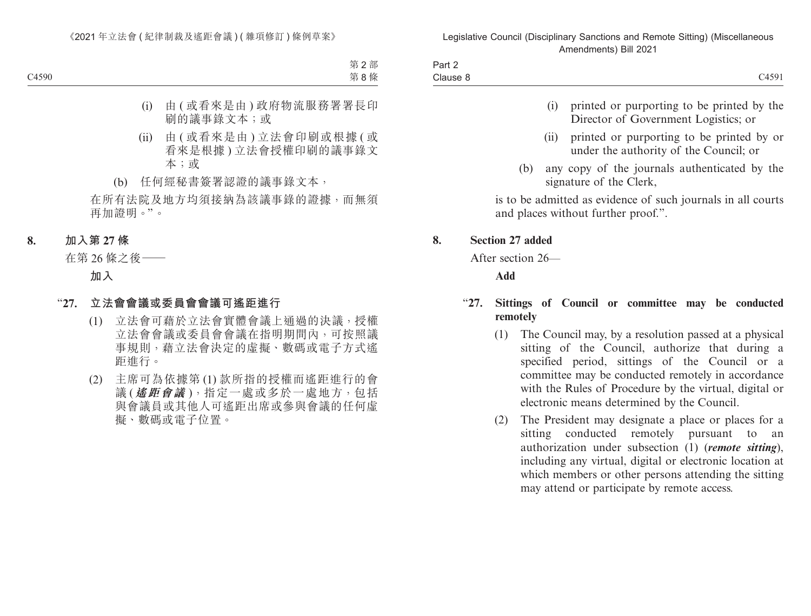| Part 2   |       |
|----------|-------|
| Clause 8 | C4591 |

- (i) printed or purporting to be printed by the Director of Government Logistics; or
- (ii) printed or purporting to be printed by or under the authority of the Council; or
- (b) any copy of the journals authenticated by the signature of the Clerk,

is to be admitted as evidence of such journals in all courts and places without further proof.".

#### **8. Section 27 added**

After section 26—

**Add**

#### "**27. Sittings of Council or committee may be conducted remotely**

- (1) The Council may, by a resolution passed at a physical sitting of the Council, authorize that during a specified period, sittings of the Council or a committee may be conducted remotely in accordance with the Rules of Procedure by the virtual, digital or electronic means determined by the Council.
- (2) The President may designate a place or places for a sitting conducted remotely pursuant to an authorization under subsection (1) (*remote sitting*), including any virtual, digital or electronic location at which members or other persons attending the sitting may attend or participate by remote access.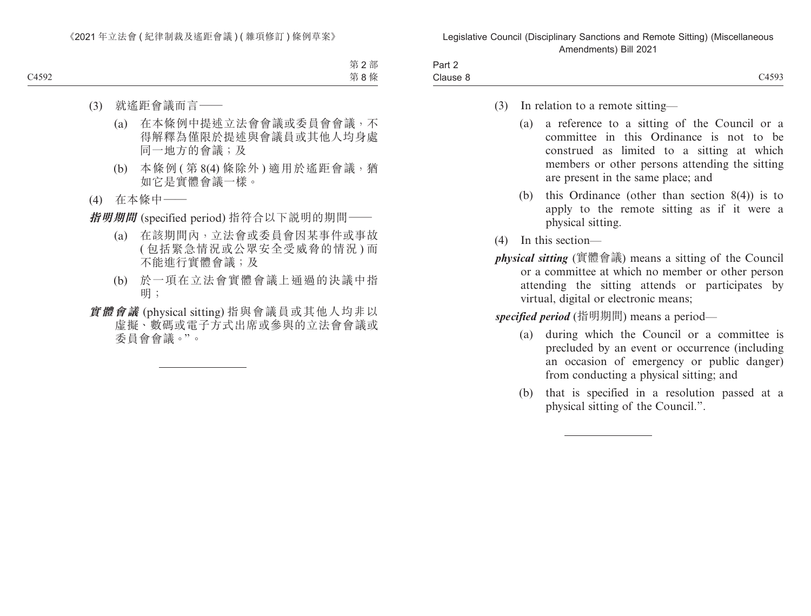| $\overline{\phantom{0}}$<br>Part 2 |                      |
|------------------------------------|----------------------|
| Clause 8                           | C4593<br>$\sim$ 1000 |

- (3) In relation to a remote sitting—
	- (a) a reference to a sitting of the Council or a committee in this Ordinance is not to be construed as limited to a sitting at which members or other persons attending the sitting are present in the same place; and
	- (b) this Ordinance (other than section 8(4)) is to apply to the remote sitting as if it were a physical sitting.
- (4) In this section—
- *physical sitting* (實體會議) means a sitting of the Council or a committee at which no member or other person attending the sitting attends or participates by virtual, digital or electronic means;

*specified period* (指明期間) means a period—

- (a) during which the Council or a committee is precluded by an event or occurrence (including an occasion of emergency or public danger) from conducting a physical sitting; and
- (b) that is specified in a resolution passed at a physical sitting of the Council.".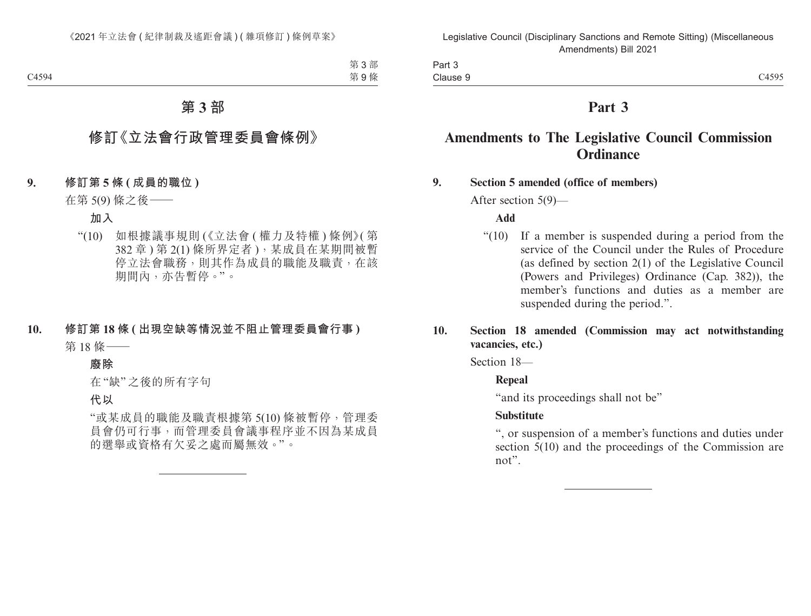| Part 3   |       |
|----------|-------|
| Clause 9 | C4595 |

## **Part 3**

## **Amendments to The Legislative Council Commission Ordinance**

#### **9. Section 5 amended (office of members)**

After section 5(9)—

#### **Add**

"(10) If a member is suspended during a period from the service of the Council under the Rules of Procedure (as defined by section 2(1) of the Legislative Council (Powers and Privileges) Ordinance (Cap. 382)), the member's functions and duties as a member are suspended during the period.".

#### **10. Section 18 amended (Commission may act notwithstanding vacancies, etc.)**

Section 18—

#### **Repeal**

"and its proceedings shall not be"

#### **Substitute**

", or suspension of a member's functions and duties under section 5(10) and the proceedings of the Commission are not".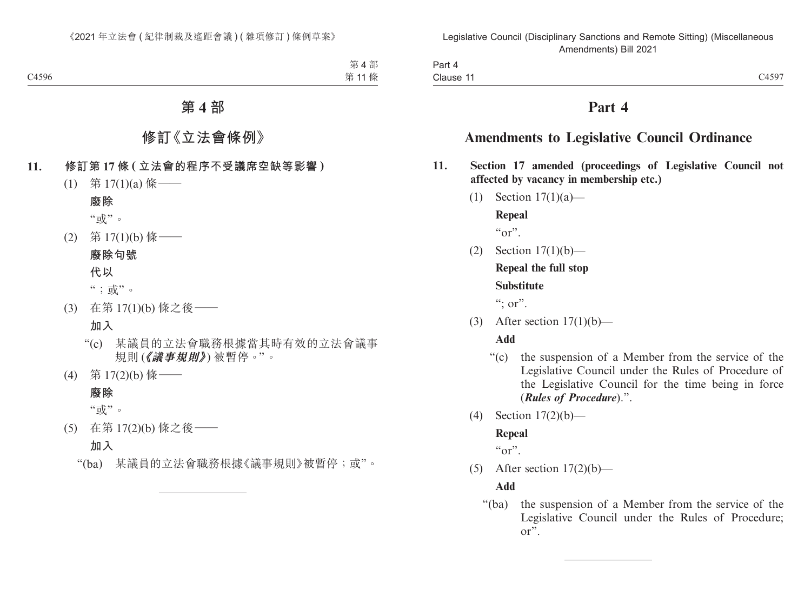| Part 4    |       |
|-----------|-------|
| Clause 11 | C4597 |

## **Part 4**

## **Amendments to Legislative Council Ordinance**

- **11. Section 17 amended (proceedings of Legislative Council not affected by vacancy in membership etc.)**
	- (1) Section 17(1)(a)—

**Repeal**

 $\alpha_{\text{or}}$ "

(2) Section 17(1)(b)—

## **Repeal the full stop**

#### **Substitute**

 $\lq\lq$  : or".

(3) After section  $17(1)(b)$ —

#### **Add**

- "(c) the suspension of a Member from the service of the Legislative Council under the Rules of Procedure of the Legislative Council for the time being in force (*Rules of Procedure*).".
- (4) Section 17(2)(b)—

#### **Repeal**

 $``\text{or}"$ 

(5) After section  $17(2)(b)$ —

#### **Add**

"(ba) the suspension of a Member from the service of the Legislative Council under the Rules of Procedure; or".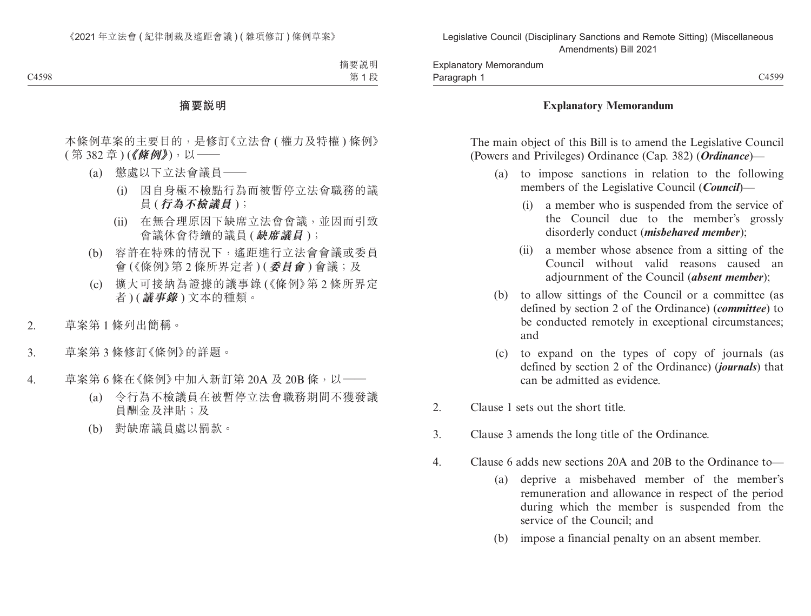#### **Explanatory Memorandum**

The main object of this Bill is to amend the Legislative Council (Powers and Privileges) Ordinance (Cap. 382) (*Ordinance*)—

- (a) to impose sanctions in relation to the following members of the Legislative Council (*Council*)—
	- (i) a member who is suspended from the service of the Council due to the member's grossly disorderly conduct (*misbehaved member*);
	- (ii) a member whose absence from a sitting of the Council without valid reasons caused an adjournment of the Council (*absent member*);
- (b) to allow sittings of the Council or a committee (as defined by section 2 of the Ordinance) (*committee*) to be conducted remotely in exceptional circumstances; and
- (c) to expand on the types of copy of journals (as defined by section 2 of the Ordinance) (*journals*) that can be admitted as evidence.
- 2. Clause 1 sets out the short title.
- 3. Clause 3 amends the long title of the Ordinance.
- 4. Clause 6 adds new sections 20A and 20B to the Ordinance to—
	- (a) deprive a misbehaved member of the member's remuneration and allowance in respect of the period during which the member is suspended from the service of the Council; and
	- (b) impose a financial penalty on an absent member.